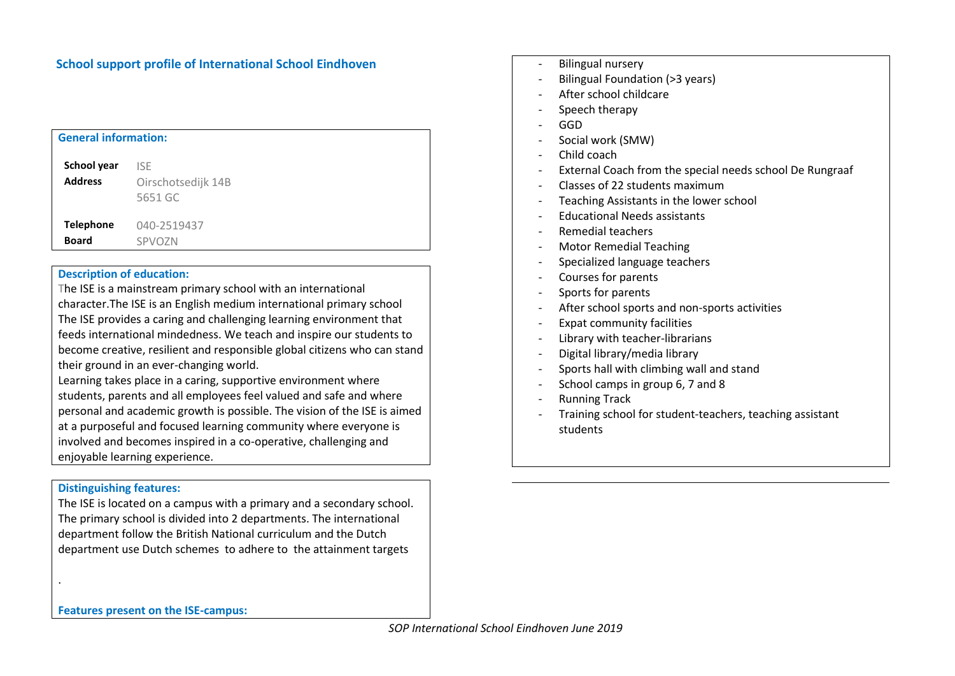## **School support profile of International School Eindhoven**

| <b>General information:</b>   |                                             |
|-------------------------------|---------------------------------------------|
| School year<br><b>Address</b> | <b>ISE</b><br>Oirschotsedijk 14B<br>5651 GC |
| <b>Telephone</b>              | 040-2519437                                 |
| <b>Board</b>                  | <b>SPVOZN</b>                               |

## **Description of education:**

The ISE is a mainstream primary school with an international character.The ISE is an English medium international primary school The ISE provides a caring and challenging learning environment that feeds international mindedness. We teach and inspire our students to become creative, resilient and responsible global citizens who can stand their ground in an ever-changing world.

Learning takes place in a caring, supportive environment where students, parents and all employees feel valued and safe and where personal and academic growth is possible. The vision of the ISE is aimed at a purposeful and focused learning community where everyone is involved and becomes inspired in a co-operative, challenging and enjoyable learning experience.

## **Distinguishing features:**

.

The ISE is located on a campus with a primary and a secondary school. The primary school is divided into 2 departments. The international department follow the British National curriculum and the Dutch department use Dutch schemes to adhere to the attainment targets

- Bilingual nursery
- Bilingual Foundation (>3 years)
- After school childcare
- Speech therapy
- GGD
- Social work (SMW)
- Child coach
- External Coach from the special needs school De Rungraaf
- Classes of 22 students maximum
- Teaching Assistants in the lower school
- Educational Needs assistants
- Remedial teachers
- Motor Remedial Teaching
- Specialized language teachers
- Courses for parents
- Sports for parents
- After school sports and non-sports activities
- Expat community facilities
- Library with teacher-librarians
- Digital library/media library
- Sports hall with climbing wall and stand
- School camps in group 6, 7 and 8
- Running Track
- Training school for student-teachers, teaching assistant students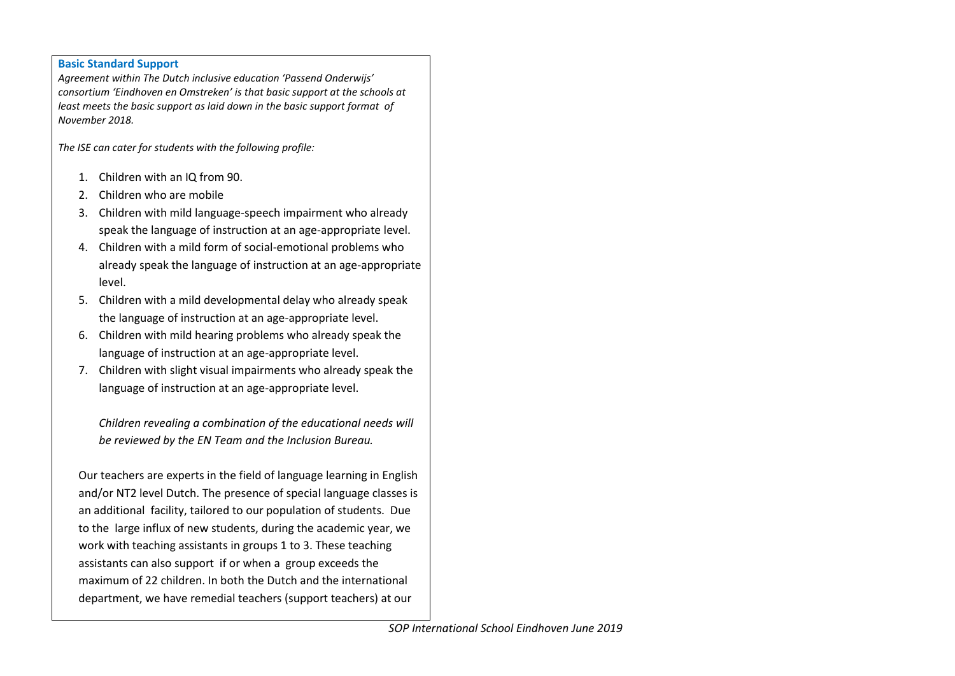## **Basic Standard Support**

*Agreement within The Dutch inclusive education 'Passend Onderwijs' consortium 'Eindhoven en Omstreken' is that basic support at the schools at least meets the basic support as laid down in the basic support format of November 2018.* 

*The ISE can cater for students with the following profile:* 

- 1. Children with an IQ from 90.
- 2. Children who are mobile
- 3. Children with mild language-speech impairment who already speak the language of instruction at an age-appropriate level.
- 4. Children with a mild form of social-emotional problems who already speak the language of instruction at an age-appropriate level.
- 5. Children with a mild developmental delay who already speak the language of instruction at an age-appropriate level.
- 6. Children with mild hearing problems who already speak the language of instruction at an age-appropriate level.
- 7. Children with slight visual impairments who already speak the language of instruction at an age-appropriate level.

*Children revealing a combination of the educational needs will be reviewed by the EN Team and the Inclusion Bureau.*

Our teachers are experts in the field of language learning in English and/or NT2 level Dutch. The presence of special language classes is an additional facility, tailored to our population of students. Due to the large influx of new students, during the academic year, we work with teaching assistants in groups 1 to 3. These teaching assistants can also support if or when a group exceeds the maximum of 22 children. In both the Dutch and the international department, we have remedial teachers (support teachers) at our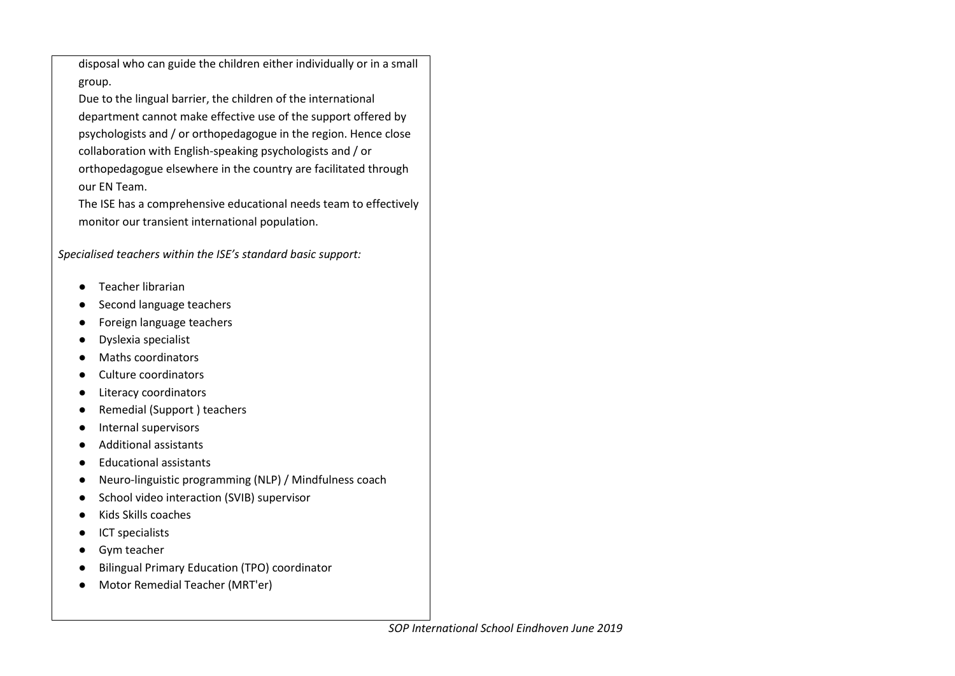disposal who can guide the children either individually or in a small group.

Due to the lingual barrier, the children of the international department cannot make effective use of the support offered by psychologists and / or orthopedagogue in the region. Hence close collaboration with English-speaking psychologists and / or orthopedagogue elsewhere in the country are facilitated through our EN Team.

The ISE has a comprehensive educational needs team to effectively monitor our transient international population.

*Specialised teachers within the ISE's standard basic support:*

- Teacher librarian
- Second language teachers
- Foreign language teachers
- Dyslexia specialist
- Maths coordinators
- Culture coordinators
- **Literacy coordinators**
- Remedial (Support) teachers
- Internal supervisors
- Additional assistants
- **Educational assistants**
- Neuro-linguistic programming (NLP) / Mindfulness coach
- School video interaction (SVIB) supervisor
- Kids Skills coaches
- ICT specialists
- Gym teacher
- **Bilingual Primary Education (TPO) coordinator**
- Motor Remedial Teacher (MRT'er)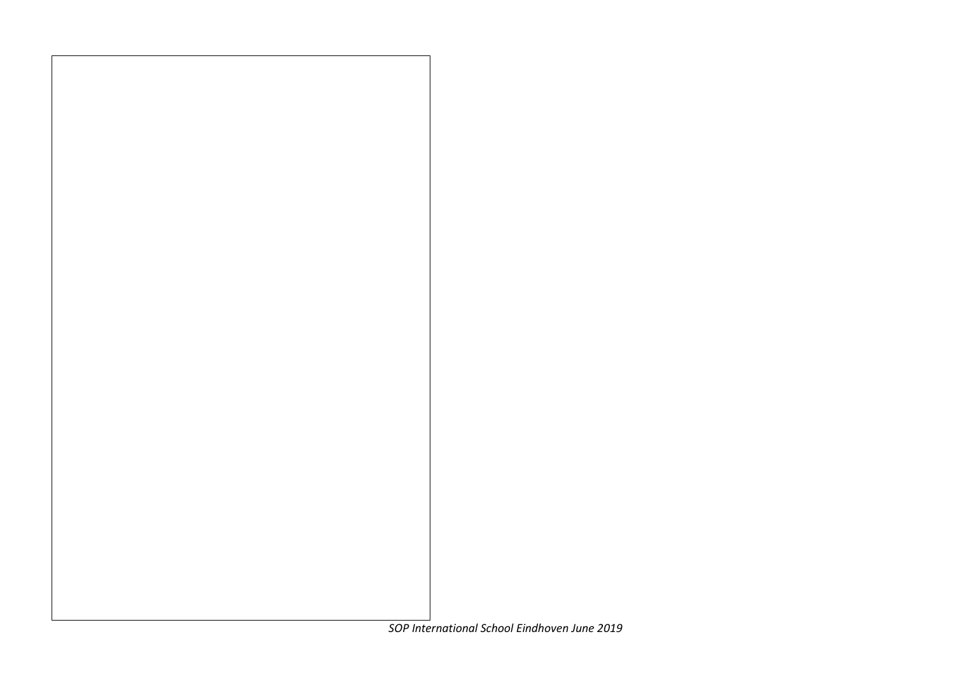